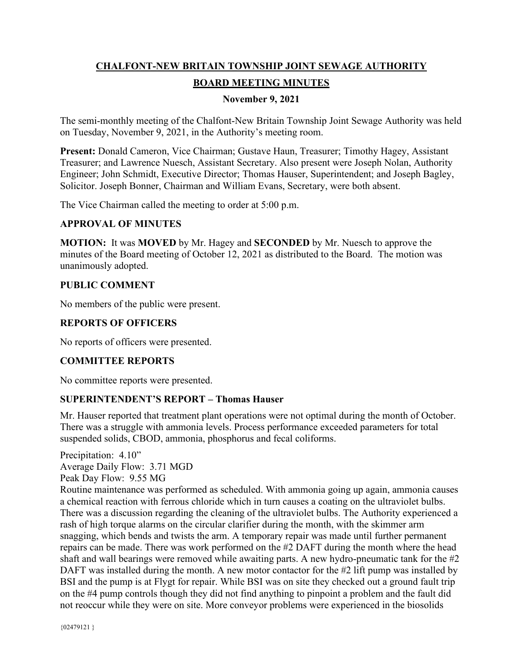# **CHALFONT-NEW BRITAIN TOWNSHIP JOINT SEWAGE AUTHORITY BOARD MEETING MINUTES**

#### **November 9, 2021**

The semi-monthly meeting of the Chalfont-New Britain Township Joint Sewage Authority was held on Tuesday, November 9, 2021, in the Authority's meeting room.

**Present:** Donald Cameron, Vice Chairman; Gustave Haun, Treasurer; Timothy Hagey, Assistant Treasurer; and Lawrence Nuesch, Assistant Secretary. Also present were Joseph Nolan, Authority Engineer; John Schmidt, Executive Director; Thomas Hauser, Superintendent; and Joseph Bagley, Solicitor. Joseph Bonner, Chairman and William Evans, Secretary, were both absent.

The Vice Chairman called the meeting to order at 5:00 p.m.

#### **APPROVAL OF MINUTES**

**MOTION:** It was **MOVED** by Mr. Hagey and **SECONDED** by Mr. Nuesch to approve the minutes of the Board meeting of October 12, 2021 as distributed to the Board. The motion was unanimously adopted.

#### **PUBLIC COMMENT**

No members of the public were present.

## **REPORTS OF OFFICERS**

No reports of officers were presented.

## **COMMITTEE REPORTS**

No committee reports were presented.

## **SUPERINTENDENT'S REPORT – Thomas Hauser**

Mr. Hauser reported that treatment plant operations were not optimal during the month of October. There was a struggle with ammonia levels. Process performance exceeded parameters for total suspended solids, CBOD, ammonia, phosphorus and fecal coliforms.

Precipitation: 4.10" Average Daily Flow: 3.71 MGD Peak Day Flow: 9.55 MG Routine maintenance was performed as scheduled. With ammonia going up again, ammonia causes a chemical reaction with ferrous chloride which in turn causes a coating on the ultraviolet bulbs. There was a discussion regarding the cleaning of the ultraviolet bulbs. The Authority experienced a rash of high torque alarms on the circular clarifier during the month, with the skimmer arm snagging, which bends and twists the arm. A temporary repair was made until further permanent repairs can be made. There was work performed on the #2 DAFT during the month where the head shaft and wall bearings were removed while awaiting parts. A new hydro-pneumatic tank for the #2 DAFT was installed during the month. A new motor contactor for the #2 lift pump was installed by BSI and the pump is at Flygt for repair. While BSI was on site they checked out a ground fault trip on the #4 pump controls though they did not find anything to pinpoint a problem and the fault did not reoccur while they were on site. More conveyor problems were experienced in the biosolids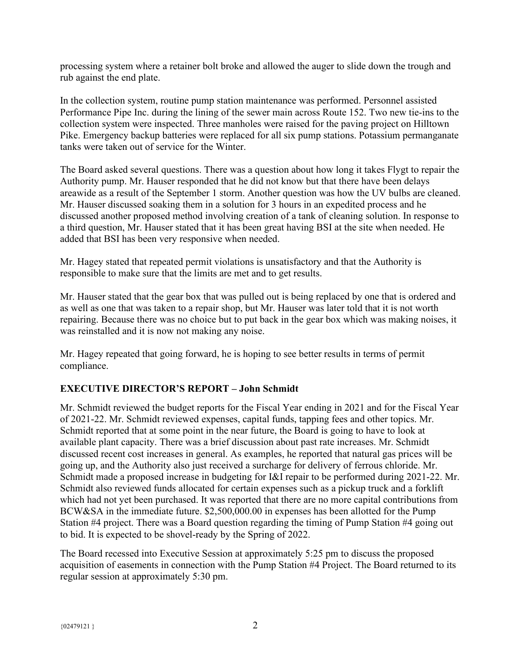processing system where a retainer bolt broke and allowed the auger to slide down the trough and rub against the end plate.

In the collection system, routine pump station maintenance was performed. Personnel assisted Performance Pipe Inc. during the lining of the sewer main across Route 152. Two new tie-ins to the collection system were inspected. Three manholes were raised for the paving project on Hilltown Pike. Emergency backup batteries were replaced for all six pump stations. Potassium permanganate tanks were taken out of service for the Winter.

The Board asked several questions. There was a question about how long it takes Flygt to repair the Authority pump. Mr. Hauser responded that he did not know but that there have been delays areawide as a result of the September 1 storm. Another question was how the UV bulbs are cleaned. Mr. Hauser discussed soaking them in a solution for 3 hours in an expedited process and he discussed another proposed method involving creation of a tank of cleaning solution. In response to a third question, Mr. Hauser stated that it has been great having BSI at the site when needed. He added that BSI has been very responsive when needed.

Mr. Hagey stated that repeated permit violations is unsatisfactory and that the Authority is responsible to make sure that the limits are met and to get results.

Mr. Hauser stated that the gear box that was pulled out is being replaced by one that is ordered and as well as one that was taken to a repair shop, but Mr. Hauser was later told that it is not worth repairing. Because there was no choice but to put back in the gear box which was making noises, it was reinstalled and it is now not making any noise.

Mr. Hagey repeated that going forward, he is hoping to see better results in terms of permit compliance.

## **EXECUTIVE DIRECTOR'S REPORT – John Schmidt**

Mr. Schmidt reviewed the budget reports for the Fiscal Year ending in 2021 and for the Fiscal Year of 2021-22. Mr. Schmidt reviewed expenses, capital funds, tapping fees and other topics. Mr. Schmidt reported that at some point in the near future, the Board is going to have to look at available plant capacity. There was a brief discussion about past rate increases. Mr. Schmidt discussed recent cost increases in general. As examples, he reported that natural gas prices will be going up, and the Authority also just received a surcharge for delivery of ferrous chloride. Mr. Schmidt made a proposed increase in budgeting for I&I repair to be performed during 2021-22. Mr. Schmidt also reviewed funds allocated for certain expenses such as a pickup truck and a forklift which had not yet been purchased. It was reported that there are no more capital contributions from BCW&SA in the immediate future. \$2,500,000.00 in expenses has been allotted for the Pump Station #4 project. There was a Board question regarding the timing of Pump Station #4 going out to bid. It is expected to be shovel-ready by the Spring of 2022.

The Board recessed into Executive Session at approximately 5:25 pm to discuss the proposed acquisition of easements in connection with the Pump Station #4 Project. The Board returned to its regular session at approximately 5:30 pm.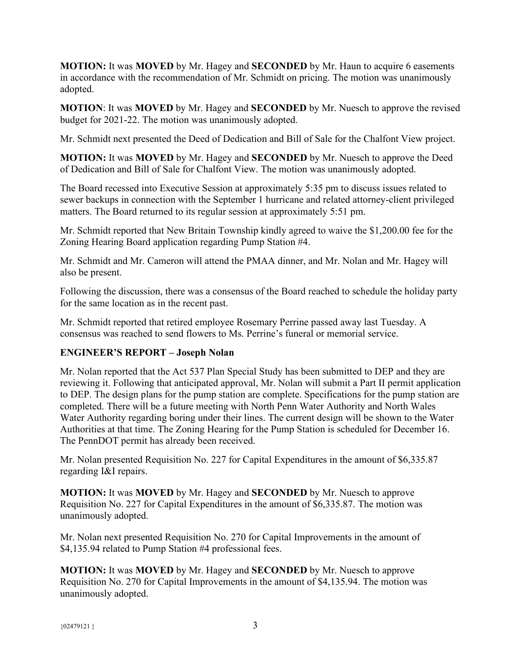**MOTION:** It was **MOVED** by Mr. Hagey and **SECONDED** by Mr. Haun to acquire 6 easements in accordance with the recommendation of Mr. Schmidt on pricing. The motion was unanimously adopted.

**MOTION**: It was **MOVED** by Mr. Hagey and **SECONDED** by Mr. Nuesch to approve the revised budget for 2021-22. The motion was unanimously adopted.

Mr. Schmidt next presented the Deed of Dedication and Bill of Sale for the Chalfont View project.

**MOTION:** It was **MOVED** by Mr. Hagey and **SECONDED** by Mr. Nuesch to approve the Deed of Dedication and Bill of Sale for Chalfont View. The motion was unanimously adopted.

The Board recessed into Executive Session at approximately 5:35 pm to discuss issues related to sewer backups in connection with the September 1 hurricane and related attorney-client privileged matters. The Board returned to its regular session at approximately 5:51 pm.

Mr. Schmidt reported that New Britain Township kindly agreed to waive the \$1,200.00 fee for the Zoning Hearing Board application regarding Pump Station #4.

Mr. Schmidt and Mr. Cameron will attend the PMAA dinner, and Mr. Nolan and Mr. Hagey will also be present.

Following the discussion, there was a consensus of the Board reached to schedule the holiday party for the same location as in the recent past.

Mr. Schmidt reported that retired employee Rosemary Perrine passed away last Tuesday. A consensus was reached to send flowers to Ms. Perrine's funeral or memorial service.

## **ENGINEER'S REPORT – Joseph Nolan**

Mr. Nolan reported that the Act 537 Plan Special Study has been submitted to DEP and they are reviewing it. Following that anticipated approval, Mr. Nolan will submit a Part II permit application to DEP. The design plans for the pump station are complete. Specifications for the pump station are completed. There will be a future meeting with North Penn Water Authority and North Wales Water Authority regarding boring under their lines. The current design will be shown to the Water Authorities at that time. The Zoning Hearing for the Pump Station is scheduled for December 16. The PennDOT permit has already been received.

Mr. Nolan presented Requisition No. 227 for Capital Expenditures in the amount of \$6,335.87 regarding I&I repairs.

**MOTION:** It was **MOVED** by Mr. Hagey and **SECONDED** by Mr. Nuesch to approve Requisition No. 227 for Capital Expenditures in the amount of \$6,335.87. The motion was unanimously adopted.

Mr. Nolan next presented Requisition No. 270 for Capital Improvements in the amount of \$4,135.94 related to Pump Station #4 professional fees.

**MOTION:** It was **MOVED** by Mr. Hagey and **SECONDED** by Mr. Nuesch to approve Requisition No. 270 for Capital Improvements in the amount of \$4,135.94. The motion was unanimously adopted.